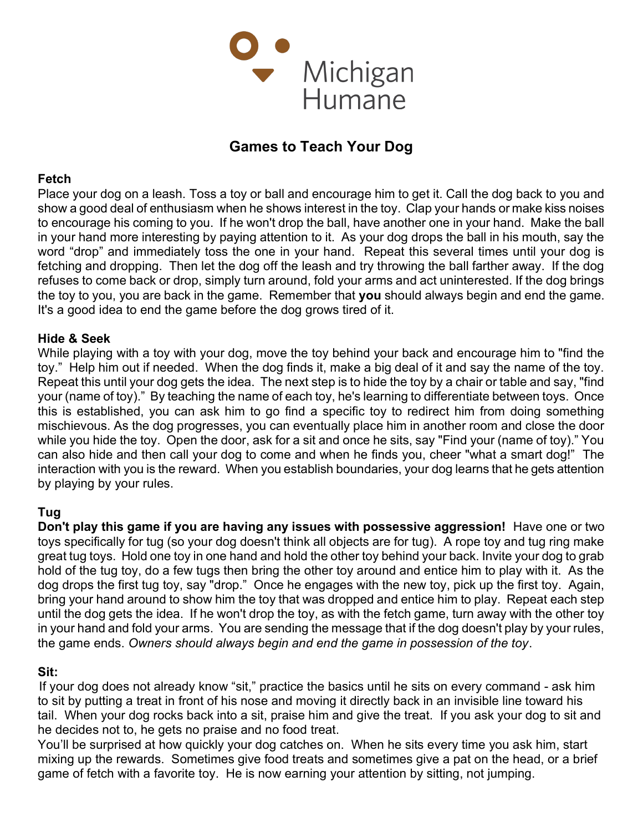

# Games to Teach Your Dog

#### Fetch

Place your dog on a leash. Toss a toy or ball and encourage him to get it. Call the dog back to you and show a good deal of enthusiasm when he shows interest in the toy. Clap your hands or make kiss noises to encourage his coming to you. If he won't drop the ball, have another one in your hand. Make the ball in your hand more interesting by paying attention to it. As your dog drops the ball in his mouth, say the word "drop" and immediately toss the one in your hand. Repeat this several times until your dog is fetching and dropping. Then let the dog off the leash and try throwing the ball farther away. If the dog refuses to come back or drop, simply turn around, fold your arms and act uninterested. If the dog brings the toy to you, you are back in the game. Remember that you should always begin and end the game. It's a good idea to end the game before the dog grows tired of it.

#### Hide & Seek

While playing with a toy with your dog, move the toy behind your back and encourage him to "find the toy." Help him out if needed. When the dog finds it, make a big deal of it and say the name of the toy. Repeat this until your dog gets the idea. The next step is to hide the toy by a chair or table and say, "find your (name of toy)." By teaching the name of each toy, he's learning to differentiate between toys. Once this is established, you can ask him to go find a specific toy to redirect him from doing something mischievous. As the dog progresses, you can eventually place him in another room and close the door while you hide the toy. Open the door, ask for a sit and once he sits, say "Find your (name of toy)." You can also hide and then call your dog to come and when he finds you, cheer "what a smart dog!" The interaction with you is the reward. When you establish boundaries, your dog learns that he gets attention by playing by your rules.

### Tug

Don't play this game if you are having any issues with possessive aggression! Have one or two toys specifically for tug (so your dog doesn't think all objects are for tug). A rope toy and tug ring make great tug toys. Hold one toy in one hand and hold the other toy behind your back. Invite your dog to grab hold of the tug toy, do a few tugs then bring the other toy around and entice him to play with it. As the dog drops the first tug toy, say "drop." Once he engages with the new toy, pick up the first toy. Again, bring your hand around to show him the toy that was dropped and entice him to play. Repeat each step until the dog gets the idea. If he won't drop the toy, as with the fetch game, turn away with the other toy in your hand and fold your arms. You are sending the message that if the dog doesn't play by your rules, the game ends. Owners should always begin and end the game in possession of the toy.

#### Sit:

If your dog does not already know "sit," practice the basics until he sits on every command - ask him to sit by putting a treat in front of his nose and moving it directly back in an invisible line toward his tail. When your dog rocks back into a sit, praise him and give the treat. If you ask your dog to sit and he decides not to, he gets no praise and no food treat.

You'll be surprised at how quickly your dog catches on. When he sits every time you ask him, start mixing up the rewards. Sometimes give food treats and sometimes give a pat on the head, or a brief game of fetch with a favorite toy. He is now earning your attention by sitting, not jumping.